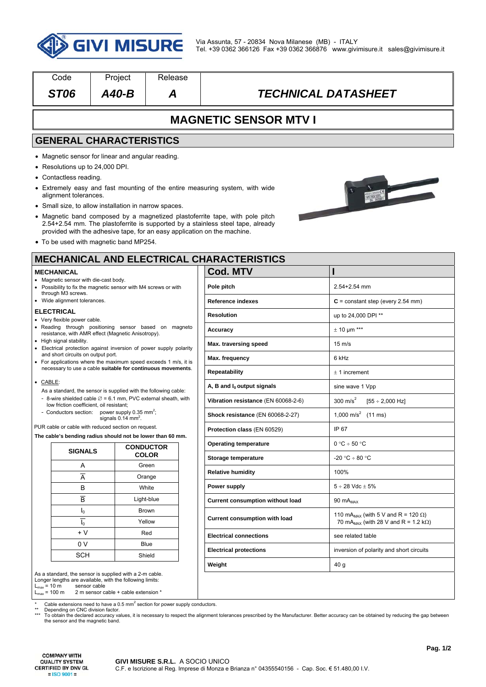

| Code                                                                                                                                                                        | Project                                                                                                                                                                     | Release                       |                                                                                                                                                                 |                                                          |  |  |
|-----------------------------------------------------------------------------------------------------------------------------------------------------------------------------|-----------------------------------------------------------------------------------------------------------------------------------------------------------------------------|-------------------------------|-----------------------------------------------------------------------------------------------------------------------------------------------------------------|----------------------------------------------------------|--|--|
| <b>ST06</b>                                                                                                                                                                 | $A40-B$                                                                                                                                                                     | A                             | <i><b>TECHNICAL DATASHEET</b></i>                                                                                                                               |                                                          |  |  |
| <b>MAGNETIC SENSOR MTV I</b>                                                                                                                                                |                                                                                                                                                                             |                               |                                                                                                                                                                 |                                                          |  |  |
|                                                                                                                                                                             | <b>GENERAL CHARACTERISTICS</b>                                                                                                                                              |                               |                                                                                                                                                                 |                                                          |  |  |
| • Resolutions up to 24,000 DPI.<br>• Contactless reading.                                                                                                                   | • Magnetic sensor for linear and angular reading.                                                                                                                           |                               | • Extremely easy and fast mounting of the entire measuring system, with wide                                                                                    | $\overline{\phantom{0}}$                                 |  |  |
| alignment tolerances.                                                                                                                                                       |                                                                                                                                                                             |                               |                                                                                                                                                                 |                                                          |  |  |
|                                                                                                                                                                             | • Small size, to allow installation in narrow spaces.<br>provided with the adhesive tape, for an easy application on the machine.<br>• To be used with magnetic band MP254. |                               | • Magnetic band composed by a magnetized plastoferrite tape, with pole pitch<br>2.54+2.54 mm. The plastoferrite is supported by a stainless steel tape, already |                                                          |  |  |
|                                                                                                                                                                             |                                                                                                                                                                             |                               | <b>MECHANICAL AND ELECTRICAL CHARACTERISTICS</b>                                                                                                                |                                                          |  |  |
| <b>MECHANICAL</b>                                                                                                                                                           |                                                                                                                                                                             |                               | <b>Cod. MTV</b>                                                                                                                                                 |                                                          |  |  |
| Magnetic sensor with die-cast body.                                                                                                                                         | • Possibility to fix the magnetic sensor with M4 screws or with                                                                                                             |                               | Pole pitch                                                                                                                                                      | $2.54 + 2.54$ mm                                         |  |  |
| through M3 screws.<br>• Wide alignment tolerances.                                                                                                                          |                                                                                                                                                                             |                               | <b>Reference indexes</b>                                                                                                                                        | $C = constant step (every 2.54 mm)$                      |  |  |
| <b>ELECTRICAL</b><br>• Very flexible power cable.                                                                                                                           |                                                                                                                                                                             |                               | <b>Resolution</b>                                                                                                                                               | up to 24,000 DPI **                                      |  |  |
|                                                                                                                                                                             | • Reading through positioning sensor based on magneto<br>resistance, with AMR effect (Magnetic Anisotropy).                                                                 |                               | Accuracy                                                                                                                                                        | $\pm$ 10 µm ***                                          |  |  |
| • High signal stability.                                                                                                                                                    |                                                                                                                                                                             |                               | Max. traversing speed                                                                                                                                           | $15 \text{ m/s}$                                         |  |  |
| • Electrical protection against inversion of power supply polarity<br>and short circuits on output port.<br>• For applications where the maximum speed exceeds 1 m/s, it is |                                                                                                                                                                             |                               | Max. frequency                                                                                                                                                  | 6 kHz                                                    |  |  |
|                                                                                                                                                                             | necessary to use a cable suitable for continuous movements.                                                                                                                 |                               | <b>Repeatability</b>                                                                                                                                            | $± 1$ increment                                          |  |  |
| • CABLE:                                                                                                                                                                    |                                                                                                                                                                             |                               | A, B and $I_0$ output signals                                                                                                                                   | sine wave 1 Vpp                                          |  |  |
| As a standard, the sensor is supplied with the following cable:<br>- 8-wire shielded cable $\varnothing$ = 6.1 mm, PVC external sheath, with                                |                                                                                                                                                                             |                               | Vibration resistance (EN 60068-2-6)                                                                                                                             | 300 m/s <sup>2</sup><br>$[55 \div 2,000$ Hz]             |  |  |
| low friction coefficient, oil resistant;<br>- Conductors section: power supply 0.35 mm <sup>2</sup> ;<br>signals $0.14$ mm <sup>2</sup> .                                   |                                                                                                                                                                             |                               | Shock resistance (EN 60068-2-27)                                                                                                                                | 1,000 m/s <sup>2</sup> (11 ms)                           |  |  |
| PUR cable or cable with reduced section on request.                                                                                                                         |                                                                                                                                                                             |                               | Protection class (EN 60529)                                                                                                                                     | IP 67                                                    |  |  |
|                                                                                                                                                                             | The cable's bending radius should not be lower than 60 mm.                                                                                                                  | <b>CONDUCTOR</b>              | <b>Operating temperature</b>                                                                                                                                    | $0 °C \div 50 °C$                                        |  |  |
| <b>SIGNALS</b>                                                                                                                                                              |                                                                                                                                                                             | <b>COLOR</b>                  | Storage temperature                                                                                                                                             | -20 °C ÷ 80 °C                                           |  |  |
| Α                                                                                                                                                                           |                                                                                                                                                                             | Green                         | <b>Relative humidity</b>                                                                                                                                        | 100%                                                     |  |  |
| $\overline{A}$<br>В                                                                                                                                                         |                                                                                                                                                                             | Orange<br>White               | Power supply                                                                                                                                                    | $5 \div 28$ Vdc $\pm 5\%$                                |  |  |
| $\overline{\mathsf{B}}$                                                                                                                                                     |                                                                                                                                                                             | Light-blue                    | <b>Current consumption without load</b>                                                                                                                         | 90 $mA_{MAX}$                                            |  |  |
| $I_0$                                                                                                                                                                       |                                                                                                                                                                             | Brown                         |                                                                                                                                                                 | 110 mA <sub>MAX</sub> (with 5 V and R = 120 $\Omega$ )   |  |  |
| $I_0$                                                                                                                                                                       |                                                                                                                                                                             | Yellow                        | <b>Current consumption with load</b>                                                                                                                            | 70 mA <sub>MAX</sub> (with 28 V and R = 1.2 k $\Omega$ ) |  |  |
| $+V$<br>Red                                                                                                                                                                 |                                                                                                                                                                             | <b>Electrical connections</b> | see related table                                                                                                                                               |                                                          |  |  |
| 0 V<br>Blue                                                                                                                                                                 |                                                                                                                                                                             |                               | <b>Electrical protections</b>                                                                                                                                   | inversion of polarity and short circuits                 |  |  |
| <b>SCH</b>                                                                                                                                                                  |                                                                                                                                                                             | Shield                        |                                                                                                                                                                 |                                                          |  |  |

\* Cable extensions need to have a 0.5 mm<sup>2</sup> section for power supply conductors.

\*\* Depending on CNC division factor.<br>\*\*\* To obtain the declared accuracy values, it is necessary to respect the alignment tolerances prescribed by the Manufacturer. Better accuracy can be obtained by reducing the gap betw